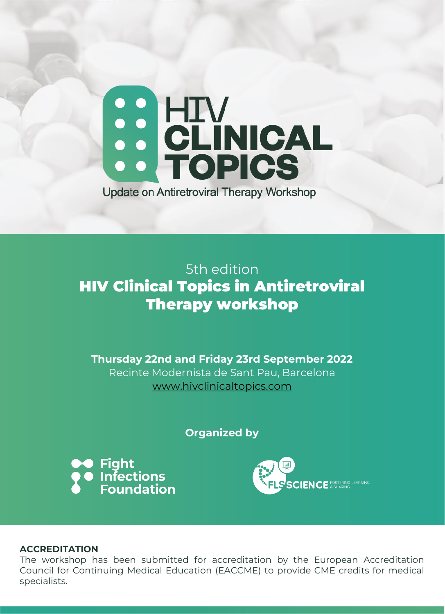## SO HIV<br>SO CLINICAL **Update on Antiretroviral Therapy Workshop**

5th edition HIV Clinical Topics in Antiretroviral Therapy workshop

**Thursday 22nd and Friday 23rd September 2022** Recinte Modernista de Sant Pau, Barcelona [www.hivclinicaltopics.com](http://www.hivclinicaltopics.com/)

**Organized by**





## **ACCREDITATION**

The workshop has been submitted for accreditation by the European Accreditation Council for Continuing Medical Education (EACCME) to provide CME credits for medical specialists.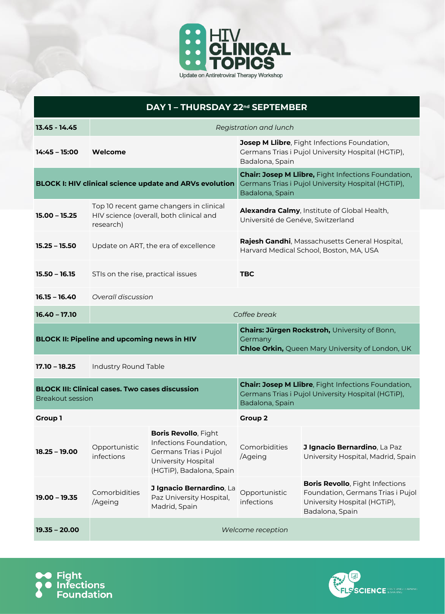

| DAY 1 - THURSDAY 22 <sup>nd</sup> SEPTEMBER                    |                                                                                                 |                                                                                                                                   |                                                                                                                                     |                                                                                                                                |  |  |  |  |
|----------------------------------------------------------------|-------------------------------------------------------------------------------------------------|-----------------------------------------------------------------------------------------------------------------------------------|-------------------------------------------------------------------------------------------------------------------------------------|--------------------------------------------------------------------------------------------------------------------------------|--|--|--|--|
| $13.45 - 14.45$                                                | Registration and lunch                                                                          |                                                                                                                                   |                                                                                                                                     |                                                                                                                                |  |  |  |  |
| 14:45 - 15:00                                                  | Welcome                                                                                         |                                                                                                                                   | Josep M Llibre, Fight Infections Foundation,<br>Germans Trias i Pujol University Hospital (HGTiP),<br>Badalona, Spain               |                                                                                                                                |  |  |  |  |
| <b>BLOCK I: HIV clinical science update and ARVs evolution</b> |                                                                                                 |                                                                                                                                   | <b>Chair: Josep M Llibre, Fight Infections Foundation,</b><br>Germans Trias i Pujol University Hospital (HGTiP),<br>Badalona, Spain |                                                                                                                                |  |  |  |  |
| $15.00 - 15.25$                                                | Top 10 recent game changers in clinical<br>HIV science (overall, both clinical and<br>research) |                                                                                                                                   | Alexandra Calmy, Institute of Global Health,<br>Université de Genéve, Switzerland                                                   |                                                                                                                                |  |  |  |  |
| $15.25 - 15.50$                                                |                                                                                                 | Update on ART, the era of excellence                                                                                              | Rajesh Gandhi, Massachusetts General Hospital,<br>Harvard Medical School, Boston, MA, USA                                           |                                                                                                                                |  |  |  |  |
| $15.50 - 16.15$                                                | STIs on the rise, practical issues                                                              |                                                                                                                                   | <b>TBC</b>                                                                                                                          |                                                                                                                                |  |  |  |  |
| $16.15 - 16.40$                                                | Overall discussion                                                                              |                                                                                                                                   |                                                                                                                                     |                                                                                                                                |  |  |  |  |
| $16.40 - 17.10$                                                | Coffee break                                                                                    |                                                                                                                                   |                                                                                                                                     |                                                                                                                                |  |  |  |  |
| <b>BLOCK II: Pipeline and upcoming news in HIV</b>             |                                                                                                 |                                                                                                                                   | Chairs: Jürgen Rockstroh, University of Bonn,<br>Germany<br><b>Chloe Orkin, Queen Mary University of London, UK</b>                 |                                                                                                                                |  |  |  |  |
| $17.10 - 18.25$                                                | Industry Round Table                                                                            |                                                                                                                                   |                                                                                                                                     |                                                                                                                                |  |  |  |  |
| <b>Breakout session</b>                                        | <b>BLOCK III: Clinical cases. Two cases discussion</b>                                          |                                                                                                                                   | <b>Chair: Josep M Llibre, Fight Infections Foundation,</b><br>Germans Trias i Pujol University Hospital (HGTiP),<br>Badalona, Spain |                                                                                                                                |  |  |  |  |
| <b>Group 1</b>                                                 |                                                                                                 |                                                                                                                                   | <b>Group 2</b>                                                                                                                      |                                                                                                                                |  |  |  |  |
| $18.25 - 19.00$                                                | Opportunistic<br>infections                                                                     | <b>Boris Revollo, Fight</b><br>Infections Foundation,<br>Germans Trias i Pujol<br>University Hospital<br>(HGTiP), Badalona, Spain | Comorbidities<br>/Ageing                                                                                                            | J Ignacio Bernardino, La Paz<br>University Hospital, Madrid, Spain                                                             |  |  |  |  |
| $19.00 - 19.35$                                                | Comorbidities<br>/Ageing                                                                        | J Ignacio Bernardino, La<br>Paz University Hospital,<br>Madrid, Spain                                                             | Opportunistic<br>infections                                                                                                         | <b>Boris Revollo, Fight Infections</b><br>Foundation, Germans Trias i Pujol<br>University Hospital (HGTiP),<br>Badalona, Spain |  |  |  |  |
| $19.35 - 20.00$                                                | Welcome reception                                                                               |                                                                                                                                   |                                                                                                                                     |                                                                                                                                |  |  |  |  |



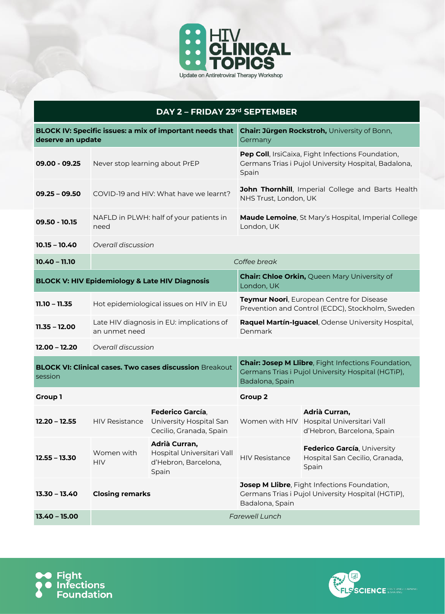

| DAY 2 - FRIDAY 23rd SEPTEMBER                                                 |                                |                                                                                |                                                                                                                              |                                                                                                                       |  |  |  |
|-------------------------------------------------------------------------------|--------------------------------|--------------------------------------------------------------------------------|------------------------------------------------------------------------------------------------------------------------------|-----------------------------------------------------------------------------------------------------------------------|--|--|--|
| BLOCK IV: Specific issues: a mix of important needs that<br>deserve an update |                                |                                                                                | Chair: Jürgen Rockstroh, University of Bonn,<br>Germany                                                                      |                                                                                                                       |  |  |  |
| $09.00 - 09.25$                                                               | Never stop learning about PrEP |                                                                                | Pep Coll, IrsiCaixa, Fight Infections Foundation,<br>Germans Trias i Pujol University Hospital, Badalona,<br>Spain           |                                                                                                                       |  |  |  |
| $09.25 - 09.50$                                                               |                                | COVID-19 and HIV: What have we learnt?                                         | John Thornhill, Imperial College and Barts Health<br>NHS Trust, London, UK                                                   |                                                                                                                       |  |  |  |
| $09.50 - 10.15$                                                               | need                           | NAFLD in PLWH: half of your patients in                                        |                                                                                                                              | Maude Lemoine, St Mary's Hospital, Imperial College<br>London, UK                                                     |  |  |  |
| $10.15 - 10.40$                                                               |                                | Overall discussion                                                             |                                                                                                                              |                                                                                                                       |  |  |  |
| $10.40 - 11.10$                                                               |                                |                                                                                | Coffee break                                                                                                                 |                                                                                                                       |  |  |  |
| <b>BLOCK V: HIV Epidemiology &amp; Late HIV Diagnosis</b>                     |                                |                                                                                | <b>Chair: Chloe Orkin, Queen Mary University of</b><br>London, UK                                                            |                                                                                                                       |  |  |  |
| $11.10 - 11.35$                                                               |                                | Hot epidemiological issues on HIV in EU                                        | Teymur Noori, European Centre for Disease<br>Prevention and Control (ECDC), Stockholm, Sweden                                |                                                                                                                       |  |  |  |
| $11.35 - 12.00$                                                               | an unmet need                  | Late HIV diagnosis in EU: implications of                                      |                                                                                                                              | Raquel Martín-Iguacel, Odense University Hospital,<br>Denmark                                                         |  |  |  |
| $12.00 - 12.20$                                                               |                                | Overall discussion                                                             |                                                                                                                              |                                                                                                                       |  |  |  |
| <b>BLOCK VI: Clinical cases. Two cases discussion Breakout</b><br>session     |                                |                                                                                | Chair: Josep M Llibre, Fight Infections Foundation,<br>Germans Trias i Pujol University Hospital (HGTiP),<br>Badalona, Spain |                                                                                                                       |  |  |  |
| Group 1                                                                       |                                |                                                                                | <b>Group 2</b>                                                                                                               |                                                                                                                       |  |  |  |
| $12.20 - 12.55$                                                               | <b>HIV Resistance</b>          | <b>Federico García</b> .<br>University Hospital San<br>Cecilio, Granada, Spain |                                                                                                                              | Adrià Curran,<br>Women with HIV Hospital Universitari Vall<br>d'Hebron, Barcelona, Spain                              |  |  |  |
| $12.55 - 13.30$                                                               | Women with<br><b>HIV</b>       | Adrià Curran,<br>Hospital Universitari Vall<br>d'Hebron, Barcelona,<br>Spain   | <b>HIV Resistance</b>                                                                                                        | Federico García, University<br>Hospital San Cecilio, Granada,<br>Spain                                                |  |  |  |
| $13.30 - 13.40$                                                               |                                | <b>Closing remarks</b>                                                         |                                                                                                                              | Josep M Llibre, Fight Infections Foundation,<br>Germans Trias i Pujol University Hospital (HGTiP),<br>Badalona, Spain |  |  |  |
| $13.40 - 15.00$                                                               |                                | <b>Farewell Lunch</b>                                                          |                                                                                                                              |                                                                                                                       |  |  |  |